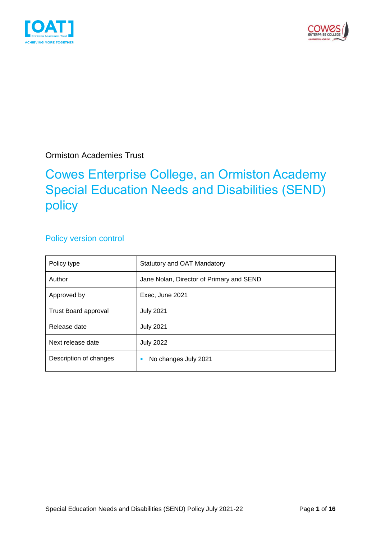



Ormiston Academies Trust

## Cowes Enterprise College, an Ormiston Academy Special Education Needs and Disabilities (SEND) policy

#### Policy version control

| Policy type                 | <b>Statutory and OAT Mandatory</b>       |  |
|-----------------------------|------------------------------------------|--|
| Author                      | Jane Nolan, Director of Primary and SEND |  |
| Approved by                 | Exec, June 2021                          |  |
| <b>Trust Board approval</b> | <b>July 2021</b>                         |  |
| Release date                | <b>July 2021</b>                         |  |
| Next release date           | <b>July 2022</b>                         |  |
| Description of changes      | No changes July 2021                     |  |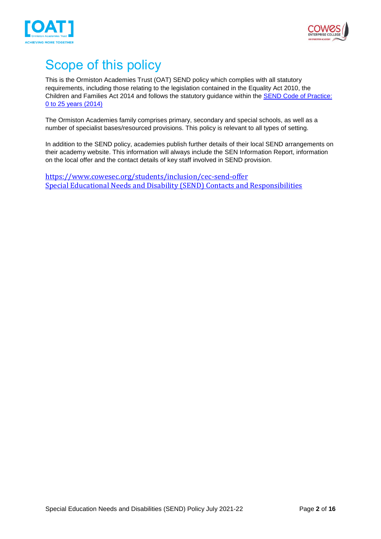



## <span id="page-1-0"></span>Scope of this policy

This is the Ormiston Academies Trust (OAT) SEND policy which complies with all statutory requirements, including those relating to the legislation contained in the Equality Act 2010, the Children and Families Act 2014 and follows the statutory guidance within the [SEND Code of Practice:](https://www.gov.uk/government/publications/send-code-of-practice-0-to-25)  [0 to 25 years \(2014\)](https://www.gov.uk/government/publications/send-code-of-practice-0-to-25)

The Ormiston Academies family comprises primary, secondary and special schools, as well as a number of specialist bases/resourced provisions. This policy is relevant to all types of setting.

In addition to the SEND policy, academies publish further details of their local SEND arrangements on their academy website. This information will always include the SEN Information Report, information on the local offer and the contact details of key staff involved in SEND provision.

<https://www.cowesec.org/students/inclusion/cec-send-offer> Special Educational Needs and Disability (SEND) Contacts and Responsibilities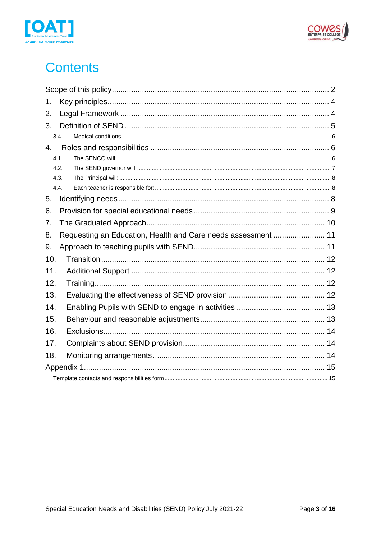



## **Contents**

| 1.  |      |                                                               |  |  |  |
|-----|------|---------------------------------------------------------------|--|--|--|
| 2.  |      |                                                               |  |  |  |
| 3.  |      |                                                               |  |  |  |
|     | 3.4. |                                                               |  |  |  |
| 4.  |      |                                                               |  |  |  |
|     | 4.1. |                                                               |  |  |  |
|     | 4.2. |                                                               |  |  |  |
|     | 4.3. |                                                               |  |  |  |
|     | 4.4. |                                                               |  |  |  |
| 5.  |      |                                                               |  |  |  |
| 6.  |      |                                                               |  |  |  |
| 7.  |      |                                                               |  |  |  |
| 8.  |      | Requesting an Education, Health and Care needs assessment  11 |  |  |  |
| 9.  |      |                                                               |  |  |  |
| 10. |      |                                                               |  |  |  |
| 11. |      |                                                               |  |  |  |
| 12. |      |                                                               |  |  |  |
| 13. |      |                                                               |  |  |  |
| 14. |      |                                                               |  |  |  |
| 15. |      |                                                               |  |  |  |
| 16. |      |                                                               |  |  |  |
| 17. |      |                                                               |  |  |  |
| 18. |      |                                                               |  |  |  |
|     |      |                                                               |  |  |  |
|     |      |                                                               |  |  |  |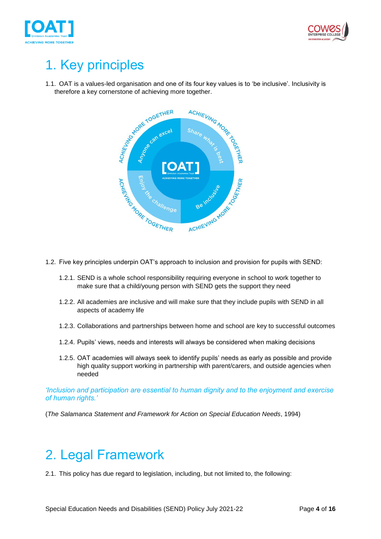



# <span id="page-3-0"></span>1. Key principles

1.1. OAT is a values-led organisation and one of its four key values is to 'be inclusive'. Inclusivity is



- 1.2. Five key principles underpin OAT's approach to inclusion and provision for pupils with SEND:
	- 1.2.1. SEND is a whole school responsibility requiring everyone in school to work together to make sure that a child/young person with SEND gets the support they need
	- 1.2.2. All academies are inclusive and will make sure that they include pupils with SEND in all aspects of academy life
	- 1.2.3. Collaborations and partnerships between home and school are key to successful outcomes
	- 1.2.4. Pupils' views, needs and interests will always be considered when making decisions
	- 1.2.5. OAT academies will always seek to identify pupils' needs as early as possible and provide high quality support working in partnership with parent/carers, and outside agencies when needed

*'Inclusion and participation are essential to human dignity and to the enjoyment and exercise of human rights.'*

(*The Salamanca Statement and Framework for Action on Special Education Needs*, 1994)

### <span id="page-3-1"></span>2. Legal Framework

2.1. This policy has due regard to legislation, including, but not limited to, the following: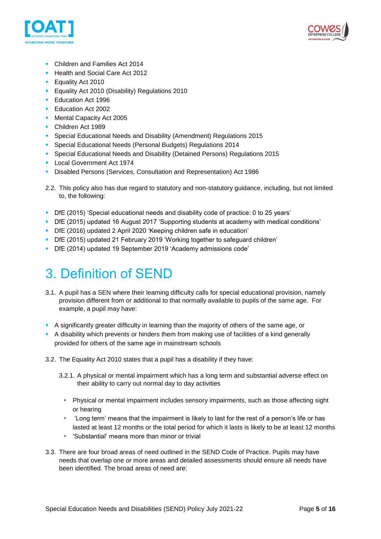



- Children and Families Act 2014
- **E** Health and Social Care Act 2012
- **E** Equality Act 2010
- **Equality Act 2010 (Disability) Regulations 2010**
- Education Act 1996
- Education Act 2002
- Mental Capacity Act 2005
- Children Act 1989
- Special Educational Needs and Disability (Amendment) Regulations 2015
- Special Educational Needs (Personal Budgets) Regulations 2014
- Special Educational Needs and Disability (Detained Persons) Regulations 2015
- Local Government Act 1974
- Disabled Persons (Services, Consultation and Representation) Act 1986
- 2.2. This policy also has due regard to statutory and non-statutory guidance, including, but not limited to, the following:
- DfE (2015) 'Special educational needs and disability code of practice: 0 to 25 years'
- DfE (2015) updated 16 August 2017 'Supporting students at academy with medical conditions'
- DfE (2016) updated 2 April 2020 'Keeping children safe in education'
- DfE (2015) updated 21 February 2019 'Working together to safeguard children'
- DfE (2014) updated 19 September 2019 'Academy admissions code'

## <span id="page-4-0"></span>3. Definition of SEND

- 3.1. A pupil has a SEN where their learning difficulty calls for special educational provision, namely provision different from or additional to that normally available to pupils of the same age. For example, a pupil may have:
- A significantly greater difficulty in learning than the majority of others of the same age, or
- **•** A disability which prevents or hinders them from making use of facilities of a kind generally provided for others of the same age in mainstream schools
- 3.2. The Equality Act 2010 states that a pupil has a disability if they have:
	- 3.2.1. A physical or mental impairment which has a long term and substantial adverse effect on their ability to carry out normal day to day activities
		- Physical or mental impairment includes sensory impairments, such as those affecting sight or hearing
		- 'Long term' means that the impairment is likely to last for the rest of a person's life or has lasted at least 12 months or the total period for which it lasts is likely to be at least 12 months
		- 'Substantial' means more than minor or trivial
- 3.3. There are four broad areas of need outlined in the SEND Code of Practice. Pupils may have needs that overlap one or more areas and detailed assessments should ensure all needs have been identified. The broad areas of need are: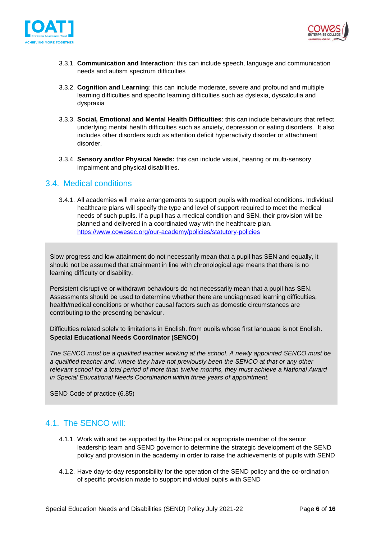



- 3.3.1. **Communication and Interaction**: this can include speech, language and communication needs and autism spectrum difficulties
- 3.3.2. **Cognition and Learning**: this can include moderate, severe and profound and multiple learning difficulties and specific learning difficulties such as dyslexia, dyscalculia and dyspraxia
- 3.3.3. **Social, Emotional and Mental Health Difficulties**: this can include behaviours that reflect underlying mental health difficulties such as anxiety, depression or eating disorders. It also includes other disorders such as attention deficit hyperactivity disorder or attachment disorder.
- 3.3.4. **Sensory and/or Physical Needs:** this can include visual, hearing or multi-sensory impairment and physical disabilities.

#### <span id="page-5-0"></span>3.4. Medical conditions

3.4.1. All academies will make arrangements to support pupils with medical conditions. Individual healthcare plans will specify the type and level of support required to meet the medical needs of such pupils. If a pupil has a medical condition and SEN, their provision will be planned and delivered in a coordinated way with the healthcare plan. <https://www.cowesec.org/our-academy/policies/statutory-policies>

Slow progress and low attainment do not necessarily mean that a pupil has SEN and equally, it should not be assumed that attainment in line with chronological age means that there is no learning difficulty or disability.

Persistent disruptive or withdrawn behaviours do not necessarily mean that a pupil has SEN. Assessments should be used to determine whether there are undiagnosed learning difficulties, health/medical conditions or whether causal factors such as domestic circumstances are contributing to the presenting behaviour.

<span id="page-5-1"></span>enting antigreems presenting solutions.<br>Difficulties related solely to limitations in English, from pupils whose first language is not English, **Special Educational Needs Coordinator (SENCO)**

a qualified teacher and, where they have not previously been the SENCO at that or any other *The SENCO must be a qualified teacher working at the school. A newly appointed SENCO must be relevant school for a total period of more than twelve months, they must achieve a National Award in Special Educational Needs Coordination within three years of appointment.* 

SEND Code of practice (6.85)

#### <span id="page-5-2"></span>4.1. The SENCO will:

- 4.1.1. Work with and be supported by the Principal or appropriate member of the senior leadership team and SEND governor to determine the strategic development of the SEND policy and provision in the academy in order to raise the achievements of pupils with SEND
- 4.1.2. Have day-to-day responsibility for the operation of the SEND policy and the co-ordination of specific provision made to support individual pupils with SEND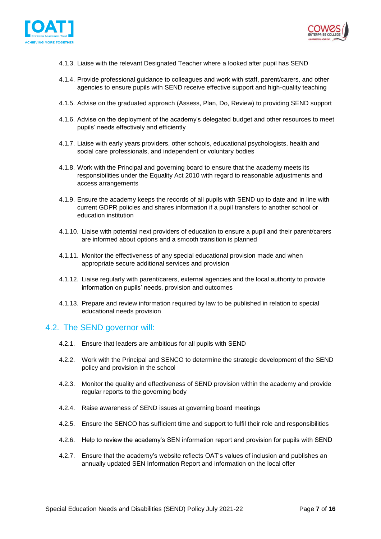



- 4.1.3. Liaise with the relevant Designated Teacher where a looked after pupil has SEND
- 4.1.4. Provide professional guidance to colleagues and work with staff, parent/carers, and other agencies to ensure pupils with SEND receive effective support and high-quality teaching
- 4.1.5. Advise on the graduated approach (Assess, Plan, Do, Review) to providing SEND support
- 4.1.6. Advise on the deployment of the academy's delegated budget and other resources to meet pupils' needs effectively and efficiently
- 4.1.7. Liaise with early years providers, other schools, educational psychologists, health and social care professionals, and independent or voluntary bodies
- 4.1.8. Work with the Principal and governing board to ensure that the academy meets its responsibilities under the Equality Act 2010 with regard to reasonable adjustments and access arrangements
- 4.1.9. Ensure the academy keeps the records of all pupils with SEND up to date and in line with current GDPR policies and shares information if a pupil transfers to another school or education institution
- 4.1.10. Liaise with potential next providers of education to ensure a pupil and their parent/carers are informed about options and a smooth transition is planned
- 4.1.11. Monitor the effectiveness of any special educational provision made and when appropriate secure additional services and provision
- 4.1.12. Liaise regularly with parent/carers, external agencies and the local authority to provide information on pupils' needs, provision and outcomes
- 4.1.13. Prepare and review information required by law to be published in relation to special educational needs provision

#### <span id="page-6-0"></span>4.2. The SEND governor will:

- 4.2.1. Ensure that leaders are ambitious for all pupils with SEND
- 4.2.2. Work with the Principal and SENCO to determine the strategic development of the SEND policy and provision in the school
- 4.2.3. Monitor the quality and effectiveness of SEND provision within the academy and provide regular reports to the governing body
- 4.2.4. Raise awareness of SEND issues at governing board meetings
- 4.2.5. Ensure the SENCO has sufficient time and support to fulfil their role and responsibilities
- 4.2.6. Help to review the academy's SEN information report and provision for pupils with SEND
- 4.2.7. Ensure that the academy's website reflects OAT's values of inclusion and publishes an annually updated SEN Information Report and information on the local offer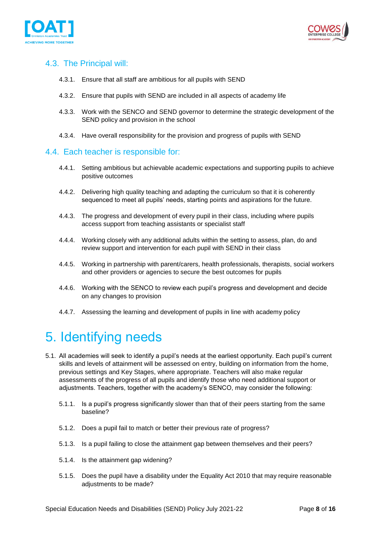



#### <span id="page-7-0"></span>4.3. The Principal will:

- 4.3.1. Ensure that all staff are ambitious for all pupils with SEND
- 4.3.2. Ensure that pupils with SEND are included in all aspects of academy life
- 4.3.3. Work with the SENCO and SEND governor to determine the strategic development of the SEND policy and provision in the school
- 4.3.4. Have overall responsibility for the provision and progress of pupils with SEND

#### <span id="page-7-1"></span>4.4. Each teacher is responsible for:

- 4.4.1. Setting ambitious but achievable academic expectations and supporting pupils to achieve positive outcomes
- 4.4.2. Delivering high quality teaching and adapting the curriculum so that it is coherently sequenced to meet all pupils' needs, starting points and aspirations for the future.
- 4.4.3. The progress and development of every pupil in their class, including where pupils access support from teaching assistants or specialist staff
- 4.4.4. Working closely with any additional adults within the setting to assess, plan, do and review support and intervention for each pupil with SEND in their class
- 4.4.5. Working in partnership with parent/carers, health professionals, therapists, social workers and other providers or agencies to secure the best outcomes for pupils
- 4.4.6. Working with the SENCO to review each pupil's progress and development and decide on any changes to provision
- <span id="page-7-2"></span>4.4.7. Assessing the learning and development of pupils in line with academy policy

## 5. Identifying needs

- 5.1. All academies will seek to identify a pupil's needs at the earliest opportunity. Each pupil's current skills and levels of attainment will be assessed on entry, building on information from the home, previous settings and Key Stages, where appropriate. Teachers will also make regular assessments of the progress of all pupils and identify those who need additional support or adjustments. Teachers, together with the academy's SENCO, may consider the following:
	- 5.1.1. Is a pupil's progress significantly slower than that of their peers starting from the same baseline?
	- 5.1.2. Does a pupil fail to match or better their previous rate of progress?
	- 5.1.3. Is a pupil failing to close the attainment gap between themselves and their peers?
	- 5.1.4. Is the attainment gap widening?
	- 5.1.5. Does the pupil have a disability under the Equality Act 2010 that may require reasonable adjustments to be made?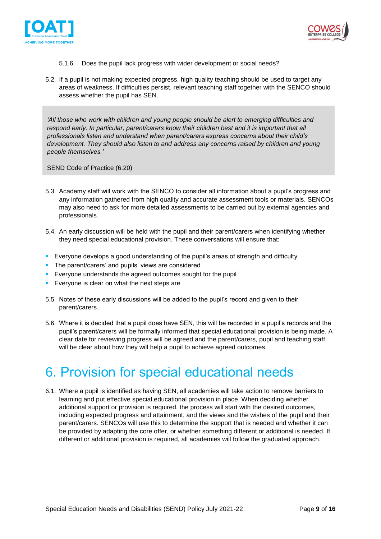



- 5.1.6. Does the pupil lack progress with wider development or social needs?
- 5.2. If a pupil is not making expected progress, high quality teaching should be used to target any areas of weakness. If difficulties persist, relevant teaching staff together with the SENCO should assess whether the pupil has SEN.

*'All those who work with children and young people should be alert to emerging difficulties and respond early. In particular, parent/carers know their children best and it is important that all professionals listen and understand when parent/carers express concerns about their child's development. They should also listen to and address any concerns raised by children and young people themselves.'* 

SEND Code of Practice (6.20)

- 5.3. Academy staff will work with the SENCO to consider all information about a pupil's progress and any information gathered from high quality and accurate assessment tools or materials. SENCOs may also need to ask for more detailed assessments to be carried out by external agencies and professionals.
- 5.4. An early discussion will be held with the pupil and their parent/carers when identifying whether they need special educational provision. These conversations will ensure that:
- **Exeryone develops a good understanding of the pupil's areas of strength and difficulty**
- **•** The parent/carers' and pupils' views are considered
- **Exeryone understands the agreed outcomes sought for the pupil**
- **Everyone is clear on what the next steps are**
- 5.5. Notes of these early discussions will be added to the pupil's record and given to their parent/carers.
- 5.6. Where it is decided that a pupil does have SEN, this will be recorded in a pupil's records and the pupil's parent/carers will be formally informed that special educational provision is being made. A clear date for reviewing progress will be agreed and the parent/carers, pupil and teaching staff will be clear about how they will help a pupil to achieve agreed outcomes.

## <span id="page-8-0"></span>6. Provision for special educational needs

6.1. Where a pupil is identified as having SEN, all academies will take action to remove barriers to learning and put effective special educational provision in place. When deciding whether additional support or provision is required, the process will start with the desired outcomes, including expected progress and attainment, and the views and the wishes of the pupil and their parent/carers. SENCOs will use this to determine the support that is needed and whether it can be provided by adapting the core offer, or whether something different or additional is needed. If different or additional provision is required, all academies will follow the graduated approach.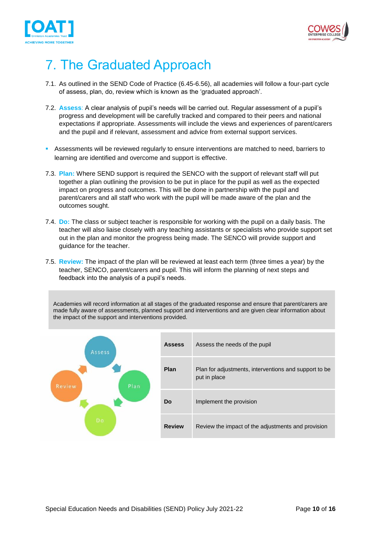



## <span id="page-9-0"></span>7. The Graduated Approach

- 7.1. As outlined in the SEND Code of Practice (6.45-6.56), all academies will follow a four-part cycle of assess, plan, do, review which is known as the 'graduated approach'.
- 7.2. **Assess**: A clear analysis of pupil's needs will be carried out. Regular assessment of a pupil's progress and development will be carefully tracked and compared to their peers and national expectations if appropriate. Assessments will include the views and experiences of parent/carers and the pupil and if relevant, assessment and advice from external support services.
- Assessments will be reviewed regularly to ensure interventions are matched to need, barriers to learning are identified and overcome and support is effective.
- 7.3. **Plan:** Where SEND support is required the SENCO with the support of relevant staff will put together a plan outlining the provision to be put in place for the pupil as well as the expected impact on progress and outcomes. This will be done in partnership with the pupil and parent/carers and all staff who work with the pupil will be made aware of the plan and the outcomes sought.
- 7.4. **Do:** The class or subject teacher is responsible for working with the pupil on a daily basis. The teacher will also liaise closely with any teaching assistants or specialists who provide support set out in the plan and monitor the progress being made. The SENCO will provide support and guidance for the teacher.
- 7.5. **Review:** The impact of the plan will be reviewed at least each term (three times a year) by the teacher, SENCO, parent/carers and pupil. This will inform the planning of next steps and feedback into the analysis of a pupil's needs.

Academies will record information at all stages of the graduated response and ensure that parent/carers are made fully aware of assessments, planned support and interventions and are given clear information about the impact of the support and interventions provided.

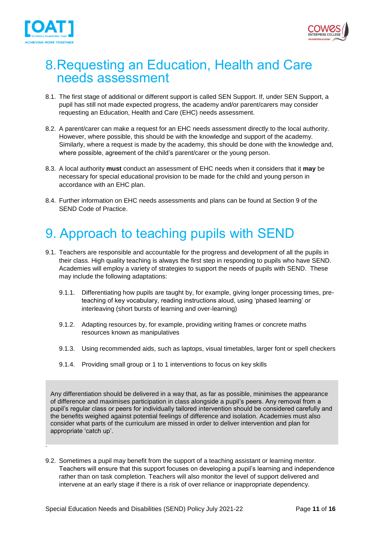

.



### <span id="page-10-0"></span>8.Requesting an Education, Health and Care needs assessment

- 8.1. The first stage of additional or different support is called SEN Support. If, under SEN Support, a pupil has still not made expected progress, the academy and/or parent/carers may consider requesting an Education, Health and Care (EHC) needs assessment.
- 8.2. A parent/carer can make a request for an EHC needs assessment directly to the local authority. However, where possible, this should be with the knowledge and support of the academy. Similarly, where a request is made by the academy, this should be done with the knowledge and, where possible, agreement of the child's parent/carer or the young person.
- 8.3. A local authority **must** conduct an assessment of EHC needs when it considers that it **may** be necessary for special educational provision to be made for the child and young person in accordance with an EHC plan.
- 8.4. Further information on EHC needs assessments and plans can be found at Section 9 of the SEND Code of Practice.

## <span id="page-10-1"></span>9. Approach to teaching pupils with SEND

- 9.1. Teachers are responsible and accountable for the progress and development of all the pupils in their class. High quality teaching is always the first step in responding to pupils who have SEND. Academies will employ a variety of strategies to support the needs of pupils with SEND. These may include the following adaptations:
	- 9.1.1. Differentiating how pupils are taught by, for example, giving longer processing times, preteaching of key vocabulary, reading instructions aloud, using 'phased learning' or interleaving (short bursts of learning and over-learning)
	- 9.1.2. Adapting resources by, for example, providing writing frames or concrete maths resources known as manipulatives
	- 9.1.3. Using recommended aids, such as laptops, visual timetables, larger font or spell checkers
	- 9.1.4. Providing small group or 1 to 1 interventions to focus on key skills

Any differentiation should be delivered in a way that, as far as possible, minimises the appearance of difference and maximises participation in class alongside a pupil's peers. Any removal from a pupil's regular class or peers for individually tailored intervention should be considered carefully and the benefits weighed against potential feelings of difference and isolation. Academies must also consider what parts of the curriculum are missed in order to deliver intervention and plan for appropriate 'catch up'.

9.2. Sometimes a pupil may benefit from the support of a teaching assistant or learning mentor. Teachers will ensure that this support focuses on developing a pupil's learning and independence rather than on task completion. Teachers will also monitor the level of support delivered and intervene at an early stage if there is a risk of over reliance or inappropriate dependency.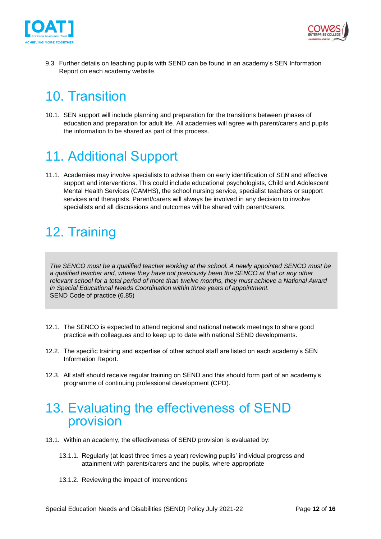



9.3. Further details on teaching pupils with SEND can be found in an academy's SEN Information Report on each academy website.

## <span id="page-11-0"></span>10. Transition

10.1. SEN support will include planning and preparation for the transitions between phases of education and preparation for adult life. All academies will agree with parent/carers and pupils the information to be shared as part of this process.

## <span id="page-11-1"></span>11. Additional Support

11.1. Academies may involve specialists to advise them on early identification of SEN and effective support and interventions. This could include educational psychologists, Child and Adolescent Mental Health Services (CAMHS), the school nursing service, specialist teachers or support services and therapists. Parent/carers will always be involved in any decision to involve specialists and all discussions and outcomes will be shared with parent/carers.

## <span id="page-11-2"></span>12. Training

*The SENCO must be a qualified teacher working at the school. A newly appointed SENCO must be a qualified teacher and, where they have not previously been the SENCO at that or any other relevant school for a total period of more than twelve months, they must achieve a National Award in Special Educational Needs Coordination within three years of appointment.*  SEND Code of practice (6.85)

- 12.1. The SENCO is expected to attend regional and national network meetings to share good practice with colleagues and to keep up to date with national SEND developments.
- 12.2. The specific training and expertise of other school staff are listed on each academy's SEN Information Report.
- 12.3. All staff should receive regular training on SEND and this should form part of an academy's programme of continuing professional development (CPD).

### <span id="page-11-3"></span>13. Evaluating the effectiveness of SEND provision

- 13.1. Within an academy, the effectiveness of SEND provision is evaluated by:
	- 13.1.1. Regularly (at least three times a year) reviewing pupils' individual progress and attainment with parents/carers and the pupils, where appropriate
	- 13.1.2. Reviewing the impact of interventions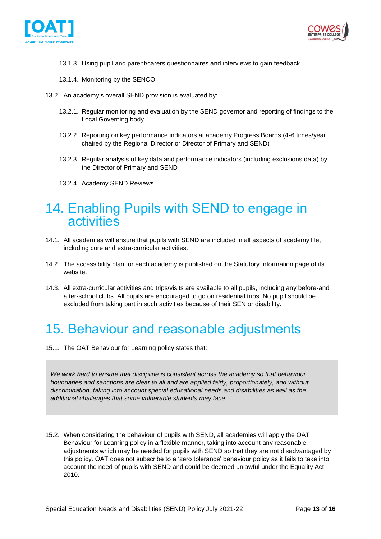



- 13.1.3. Using pupil and parent/carers questionnaires and interviews to gain feedback
- 13.1.4. Monitoring by the SENCO
- 13.2. An academy's overall SEND provision is evaluated by:
	- 13.2.1. Regular monitoring and evaluation by the SEND governor and reporting of findings to the Local Governing body
	- 13.2.2. Reporting on key performance indicators at academy Progress Boards (4-6 times/year chaired by the Regional Director or Director of Primary and SEND)
	- 13.2.3. Regular analysis of key data and performance indicators (including exclusions data) by the Director of Primary and SEND
	- 13.2.4. Academy SEND Reviews

### <span id="page-12-0"></span>14. Enabling Pupils with SEND to engage in activities

- 14.1. All academies will ensure that pupils with SEND are included in all aspects of academy life, including core and extra-curricular activities.
- 14.2. The accessibility plan for each academy is published on the Statutory Information page of its website.
- 14.3. All extra-curricular activities and trips/visits are available to all pupils, including any before-and after-school clubs. All pupils are encouraged to go on residential trips. No pupil should be excluded from taking part in such activities because of their SEN or disability.

### <span id="page-12-1"></span>15. Behaviour and reasonable adjustments

15.1. The OAT Behaviour for Learning policy states that:

We work hard to ensure that discipline is consistent across the academy so that behaviour *boundaries and sanctions are clear to all and are applied fairly, proportionately, and without discrimination, taking into account special educational needs and disabilities as well as the additional challenges that some vulnerable students may face.*

15.2. When considering the behaviour of pupils with SEND, all academies will apply the OAT Behaviour for Learning policy in a flexible manner, taking into account any reasonable adjustments which may be needed for pupils with SEND so that they are not disadvantaged by this policy. OAT does not subscribe to a 'zero tolerance' behaviour policy as it fails to take into account the need of pupils with SEND and could be deemed unlawful under the Equality Act 2010.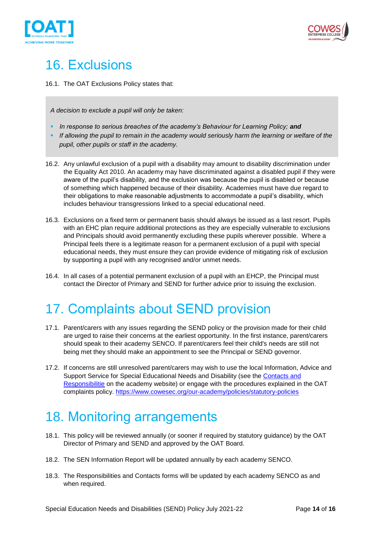



## <span id="page-13-0"></span>16. Exclusions

16.1. The OAT Exclusions Policy states that:

*A decision to exclude a pupil will only be taken:*

- **•** In response to serious breaches of the academy's Behaviour for Learning Policy; and
- **EXT** *If allowing the pupil to remain in the academy would seriously harm the learning or welfare of the pupil, other pupils or staff in the academy.*
- 16.2. Any unlawful exclusion of a pupil with a disability may amount to disability discrimination under the Equality Act 2010. An academy may have discriminated against a disabled pupil if they were aware of the pupil's disability, and the exclusion was because the pupil is disabled or because of something which happened because of their disability. Academies must have due regard to their obligations to make reasonable adjustments to accommodate a pupil's disability, which includes behaviour transgressions linked to a special educational need.
- 16.3. Exclusions on a fixed term or permanent basis should always be issued as a last resort. Pupils with an EHC plan require additional protections as they are especially vulnerable to exclusions and Principals should avoid permanently excluding these pupils wherever possible. Where a Principal feels there is a legitimate reason for a permanent exclusion of a pupil with special educational needs, they must ensure they can provide evidence of mitigating risk of exclusion by supporting a pupil with any recognised and/or unmet needs.
- 16.4. In all cases of a potential permanent exclusion of a pupil with an EHCP, the Principal must contact the Director of Primary and SEND for further advice prior to issuing the exclusion.

## <span id="page-13-1"></span>17. Complaints about SEND provision

- 17.1. Parent/carers with any issues regarding the SEND policy or the provision made for their child are urged to raise their concerns at the earliest opportunity. In the first instance, parent/carers should speak to their academy SENCO. If parent/carers feel their child's needs are still not being met they should make an appointment to see the Principal or SEND governor.
- 17.2. If concerns are still unresolved parent/carers may wish to use the local Information, Advice and Support Service for Special Educational Needs and Disability (see the Contacts and Responsibilitie on the academy website) or engage with the procedures explained in the OAT complaints policy.<https://www.cowesec.org/our-academy/policies/statutory-policies>

## <span id="page-13-2"></span>18. Monitoring arrangements

- 18.1. This policy will be reviewed annually (or sooner if required by statutory guidance) by the OAT Director of Primary and SEND and approved by the OAT Board.
- 18.2. The SEN Information Report will be updated annually by each academy SENCO.
- 18.3. The Responsibilities and Contacts forms will be updated by each academy SENCO as and when required.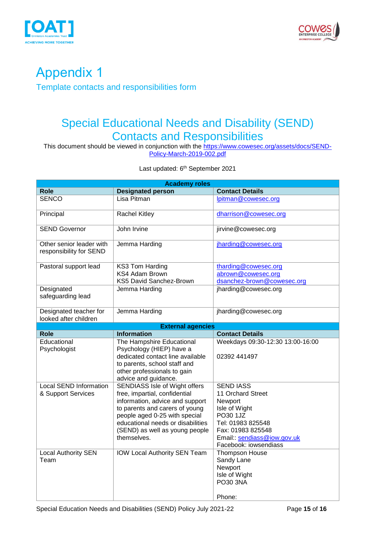



### <span id="page-14-1"></span><span id="page-14-0"></span>Appendix 1 Template contacts and responsibilities form

#### Special Educational Needs and Disability (SEND) Contacts and Responsibilities

This document should be viewed in conjunction with the <u>https://www.cowesec.org/assets/docs/SEND-</u> [Policy-March-2019-002.pdf](https://www.cowesec.org/assets/docs/SEND-Policy-March-2019-002.pdf)

Last updated: 6<sup>th</sup> September 2021

|                                                     | <b>Academy roles</b>                                                                                                                                                                                                                                       |                                                                                                                                                                                |
|-----------------------------------------------------|------------------------------------------------------------------------------------------------------------------------------------------------------------------------------------------------------------------------------------------------------------|--------------------------------------------------------------------------------------------------------------------------------------------------------------------------------|
| Role                                                | <b>Designated person</b>                                                                                                                                                                                                                                   | <b>Contact Details</b>                                                                                                                                                         |
| <b>SENCO</b>                                        | Lisa Pitman                                                                                                                                                                                                                                                | lpitman@cowesec.org                                                                                                                                                            |
| Principal                                           | <b>Rachel Kitley</b>                                                                                                                                                                                                                                       | dharrison@cowesec.org                                                                                                                                                          |
| <b>SEND Governor</b>                                | John Irvine                                                                                                                                                                                                                                                | jirvine@cowesec.org                                                                                                                                                            |
| Other senior leader with<br>responsibility for SEND | Jemma Harding                                                                                                                                                                                                                                              | jharding@cowesec.org                                                                                                                                                           |
| Pastoral support lead                               | KS3 Tom Harding<br><b>KS4 Adam Brown</b><br>KS5 David Sanchez-Brown                                                                                                                                                                                        | tharding@cowesec.org<br>abrown@cowesec.org<br>dsanchez-brown@cowesec.org                                                                                                       |
| Designated<br>safeguarding lead                     | Jemma Harding                                                                                                                                                                                                                                              | jharding@cowesec.org                                                                                                                                                           |
| Designated teacher for<br>looked after children     | Jemma Harding                                                                                                                                                                                                                                              | jharding@cowesec.org                                                                                                                                                           |
|                                                     | <b>External agencies</b>                                                                                                                                                                                                                                   |                                                                                                                                                                                |
| <b>Role</b>                                         | <b>Information</b>                                                                                                                                                                                                                                         | <b>Contact Details</b>                                                                                                                                                         |
| Educational<br>Psychologist                         | The Hampshire Educational<br>Psychology (HIEP) have a<br>dedicated contact line available<br>to parents, school staff and<br>other professionals to gain<br>advice and guidance.                                                                           | Weekdays 09:30-12:30 13:00-16:00<br>02392 441497                                                                                                                               |
| <b>Local SEND Information</b><br>& Support Services | SENDIASS Isle of Wight offers<br>free, impartial, confidential<br>information, advice and support<br>to parents and carers of young<br>people aged 0-25 with special<br>educational needs or disabilities<br>(SEND) as well as young people<br>themselves. | <b>SEND IASS</b><br>11 Orchard Street<br>Newport<br>Isle of Wight<br>PO30 1JZ<br>Tel: 01983 825548<br>Fax: 01983 825548<br>Email: sendiass@iow.gov.uk<br>Facebook: iowsendiass |
| <b>Local Authority SEN</b><br>Team                  | <b>IOW Local Authority SEN Team</b>                                                                                                                                                                                                                        | Thompson House<br>Sandy Lane<br>Newport<br>Isle of Wight<br>PO30 3NA<br>Phone:                                                                                                 |